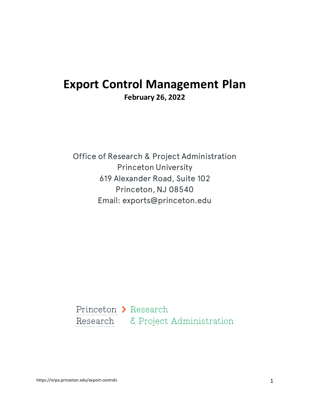# **Export Control Management Plan February 26, 2022**

Office of Research & Project Administration Princeton University 619 Alexander Road, Suite 102 Princeton, NJ 08540 Email: exports@princeton.edu

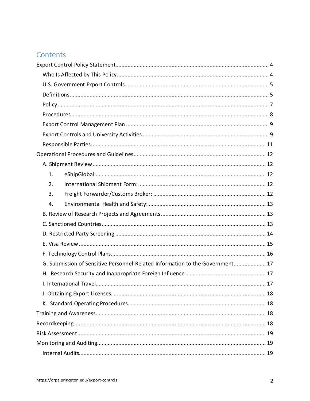## Contents

| 1.                                                                            |  |
|-------------------------------------------------------------------------------|--|
| 2.                                                                            |  |
| 3.                                                                            |  |
| 4.                                                                            |  |
|                                                                               |  |
|                                                                               |  |
|                                                                               |  |
|                                                                               |  |
|                                                                               |  |
| G. Submission of Sensitive Personnel-Related Information to the Government 17 |  |
|                                                                               |  |
|                                                                               |  |
|                                                                               |  |
|                                                                               |  |
|                                                                               |  |
|                                                                               |  |
|                                                                               |  |
|                                                                               |  |
|                                                                               |  |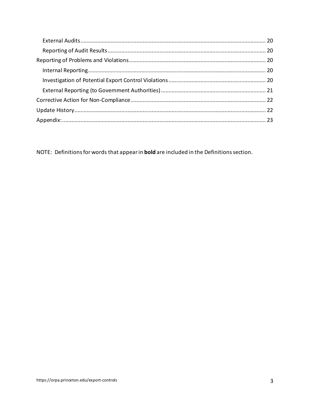NOTE: Definitions for words that appear in **bold** are included in the Definitions section.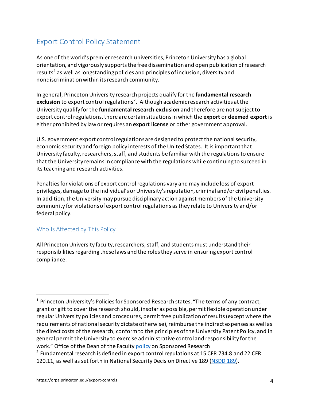## <span id="page-3-0"></span>Export Control Policy Statement

As one of the world's premier research universities, Princeton University has a global orientation, and vigorously supports the free dissemination and open publication of research results<sup>[1](#page-3-2)</sup> as well as longstanding policies and principles of inclusion, diversity and nondiscrimination within its research community.

In general, Princeton University research projects qualify for the **fundamental research**  exclusion to export control regulations<sup>[2](#page-3-3)</sup>. Although academic research activities at the University qualify for the **fundamental research exclusion** and therefore are not subject to export control regulations, there are certain situations in which the **export** or **deemed export** is either prohibited by law or requires an **export license** or other government approval.

U.S. government export control regulations are designed to protect the national security, economic security and foreign policy interests of the United States. It is important that University faculty, researchers, staff, and students be familiar with the regulations to ensure that the University remains in compliance with the regulations while continuing to succeed in its teaching and research activities.

Penalties for violations of export control regulations vary and may include loss of export privileges, damage to the individual's or University's reputation, criminal and/or civil penalties. In addition, the University may pursue disciplinary action against members of the University community for violations of export control regulations as they relate to University and/or federal policy.

### <span id="page-3-1"></span>Who Is Affected by This Policy

All Princeton University faculty, researchers, staff, and students must understand their responsibilities regarding these laws and the roles they serve in ensuring export control compliance.

<span id="page-3-2"></span> $1$  Princeton University's Policies for Sponsored Research states, "The terms of any contract, grant or gift to cover the research should, insofar as possible, permit flexible operation under regular University policies and procedures, permit free publication of results (except where the requirements of national security dictate otherwise), reimburse the indirect expenses as well as the direct costs of the research, conform to the principles of the University Patent Policy, and in general permit the University to exercise administrative control and responsibility for the work." Office of the Dean of the Faculty [policy o](https://dof.princeton.edu/policies-procedure/policies/sponsored-research)n Sponsored Research

<span id="page-3-3"></span> $2$  Fundamental research is defined in export control regulations at 15 CFR 734.8 and 22 CFR 120.11, as well as set forth in National Security Decision Directive 189 [\(NSDD 189\)](https://fas.org/irp/offdocs/nsdd/nsdd-189.htm).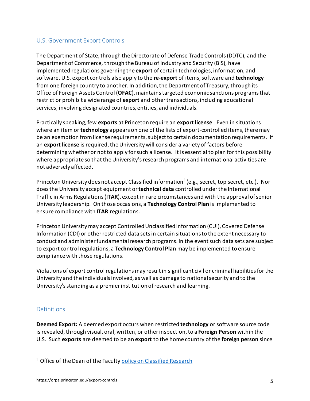### <span id="page-4-0"></span>U.S. Government Export Controls

The Department of State, through the Directorate of Defense Trade Controls (DDTC), and the Department of Commerce, through the Bureau of Industry and Security (BIS), have implemented regulations governing the **export** of certain technologies, information, and software. U.S. export controls also apply to the **re-export** of items, software and **technology** from one foreign country to another. In addition, the Department of Treasury, through its Office of Foreign Assets Control (**OFAC**), maintains targeted economic sanctions programs that restrict or prohibit a wide range of **export** and other transactions, including educational services, involving designated countries, entities, and individuals.

Practically speaking, few **exports** at Princeton require an **export license**. Even in situations where an item or **technology** appears on one of the lists of export-controlled items, there may be an exemption from license requirements, subject to certain documentation requirements. If an **export license** is required, the University will consider a variety of factors before determining whether or not to apply for such a license. It is essential to plan for this possibility where appropriate so that the University's research programs and international activities are not adversely affected.

Princeton University does not accept Classified information<sup>[3](#page-4-2)</sup> (e.g., secret, top secret, etc.). Nor does the University accept equipment or **technical data** controlled under the International Traffic in Arms Regulations (**ITAR**), except in rare circumstances and with the approval of senior University leadership. On those occasions, a **Technology Control Plan** is implemented to ensure compliance with **ITAR** regulations.

Princeton University may accept Controlled Unclassified Information (CUI), Covered Defense Information (CDI) or other restricted data sets in certain situations to the extent necessary to conduct and administer fundamental research programs. In the event such data sets are subject to export controlregulations, a **Technology Control Plan** may be implemented to ensure compliance with those regulations.

Violations of export control regulations may result in significant civil or criminal liabilities for the University and the individuals involved, as well as damage to national security and to the University's standing as a premier institution of research and learning.

### <span id="page-4-1"></span>**Definitions**

**Deemed Export:** A deemed export occurs when restricted **technology** or software source code is revealed, through visual, oral, written, or other inspection,to a **Foreign Person** within the U.S. Such **exports** are deemed to be an **export** to the home country of the **foreign person** since

<span id="page-4-2"></span><sup>&</sup>lt;sup>3</sup> Office of the Dean of the Facult[y policy on Classified Research](https://dof.princeton.edu/policies-procedure/policies/classified-research)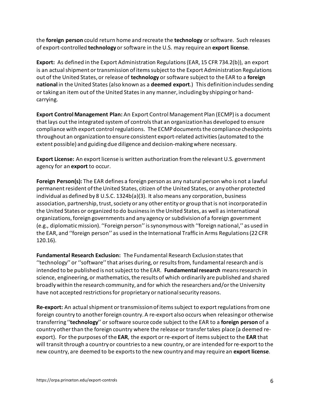the **foreign person** could return home and recreate the **technology** or software. Such releases of export-controlled **technology**or software in the U.S. may require an **export license**.

**Export:** As defined in the Export Administration Regulations(EAR, 15 CFR 734.2(b)), an export is an actual shipment or transmission of items subject to the Export Administration Regulations out of the United States, or release of **technology** or software subject to the EAR to a **foreign**  national in the United States (also known as a deemed export.) This definition includes sending or taking an item out of the United Statesin any manner, including by shipping or handcarrying.

**Export Control Management Plan:** An Export Control Management Plan (ECMP) is a document that lays out the integrated system of controls that an organization has developed to ensure compliance with export control regulations. The ECMP documents the compliance checkpoints throughout an organizationto ensure consistent export-related activities(automated to the extent possible) and guiding due diligence and decision-makingwhere necessary.

**Export License:** An export license is written authorization from the relevant U.S. government agency for an **export** to occur.

**Foreign Person(s):** The EAR defines a foreign person as any natural person who is not a lawful permanent resident of the United States, citizen of the United States, or any other protected individual as defined by 8 U.S.C. 1324b(a)(3). It also means any corporation, business association, partnership, trust, society or any other entity or group that is not incorporated in the United States or organized to do businessin the United States, as well as international organizations, foreign governments and any agency or subdivisionof a foreign government (e.g., diplomatic mission). ''Foreign person'' is synonymous with ''foreign national,'' as used in the EAR, and ''foreign person'' as used in the International Traffic in Arms Regulations(22 CFR 120.16).

**Fundamental Research Exclusion:** The Fundamental Research Exclusion states that ''technology'' or ''software'' that arises during, or results from, fundamental research and is intended to be published is not subject to the EAR. **Fundamental research** means research in science, engineering, or mathematics, the results of which ordinarily are published and shared broadly within the research community, and for which the researchers and/or the University have not accepted restrictionsfor proprietary or national security reasons.

**Re-export:** An actual shipment or transmission of items subject to export regulations from one foreign country to another foreign country. A re-export also occurs when releasing or otherwise transferring ''**technology**'' or software source code subject to the EAR to a **foreign person** of a country other than the foreign country where the release or transfer takes place (a deemed reexport). For the purposes of the **EAR**, the export or re-export of items subject to the **EAR** that will transit through a country or countries to a new country, or are intended for re-export to the new country, are deemed to be exports to the new country and may require an **export license**.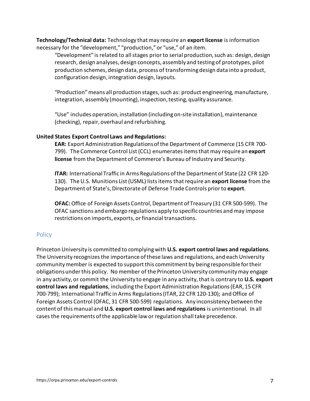**Technology/Technical data:** Technology that may require an **export license** is information necessary for the "development," "production," or "use," of an item.

"Development" is related to all stages prior to serial production, such as: design, design research, design analyses, design concepts, assembly and testing of prototypes, pilot production schemes, design data, process of transforming design data into a product, configuration design, integration design, layouts.

"Production" means all production stages, such as: product engineering, manufacture, integration, assembly (mounting), inspection, testing, quality assurance.

"Use" includes operation, installation (including on-site installation), maintenance (checking), repair, overhaul and refurbishing.

#### **United States Export Control Laws and Regulations:**

**EAR:** Export Administration Regulations of the Department of Commerce (15 CFR 700- 799). The Commerce Control List (CCL) enumerates items that may require an **export license** from the Department of Commerce's Bureau of Industry and Security.

**ITAR:** International Traffic in Arms Regulations of the Department of State (22 CFR 120- 130). The U.S. Munitions List (USML) lists items that require an **export license** from the Department of State's, Directorate of Defense Trade Controls prior to **export**.

**OFAC:** Office of Foreign Assets Control, Department of Treasury (31 CFR 500-599). The OFAC sanctions and embargo regulations apply to specific countries and may impose restrictions on imports, exports, or financial transactions.

#### <span id="page-6-0"></span>**Policy**

Princeton University is committed to complying with **U.S. export control laws and regulations**. The University recognizes the importance of these laws and regulations, and each University community member is expected to support this commitment by being responsible for their obligations under this policy. No member of the Princeton University communitymay engage in any activity, or commit the University to engage in any activity, that is contrary to **U.S. export control laws and regulations**, including the Export Administration Regulations (EAR, 15 CFR 700-799); International Traffic in Arms Regulations (ITAR, 22 CFR 120-130); and Office of Foreign Assets Control (OFAC, 31 CFR 500-599) regulations. Any inconsistency between the content of this manual and **U.S. export control laws and regulations** is unintentional. In all cases the requirements of the applicable law or regulation shall take precedence.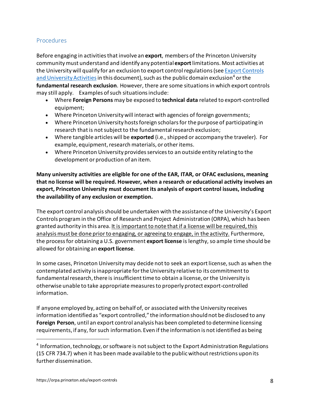#### <span id="page-7-0"></span>**Procedures**

Before engaging in activities that involve an **export**, members of the Princeton University community must understand and identify any potential **export**limitations. Most activities at the University will qualify for an exclusion to export control regulations(se[e Export Controls](#page-8-1)  [and University Activities](#page-8-1) in this document), such as the public domain exclusion<sup>[4](#page-7-1)</sup> or the **fundamental research exclusion**. However, there are some situations in which export controls may still apply. Examples of such situations include:

- Where **Foreign Persons** may be exposed to **technical data** related to export-controlled equipment;
- Where Princeton University will interact with agencies of foreign governments;
- Where Princeton University hosts foreign scholars for the purpose of participating in research that is not subject to the fundamental research exclusion;
- Where tangible articles will be **exported** (i.e., shipped or accompany the traveler). For example, equipment, research materials, or other items.
- Where Princeton University provides services to an outside entity relating to the development or production of an item.

**Many university activities are eligible for one of the EAR, ITAR, or OFAC exclusions, meaning that no license will be required. However, when a research or educational activity involves an export, Princeton University must document its analysis of export control issues, including the availability of any exclusion or exemption.** 

The export control analysis should be undertaken with the assistance of the University's Export Controls program in the Office of Research and Project Administration (ORPA), which has been granted authority in this area. It is important to note that if a license will be required, this analysis must be done prior to engaging, or agreeing to engage, in the activity. Furthermore, the process for obtaining a U.S. government **export license** is lengthy, so ample time should be allowed for obtaining an **export license**.

In some cases, Princeton University may decide not to seek an export license, such as when the contemplated activity is inappropriate for the University relative to its commitment to fundamental research, there is insufficient time to obtain a license, or the University is otherwise unable to take appropriate measures to properly protect export-controlled information.

If anyone employed by, acting on behalf of, or associated with the University receives information identified as "export controlled," the information shouldnot be disclosed to any **Foreign Person**, until an export control analysis has been completed to determine licensing requirements, if any, for such information. Even if the information is not identified as being

<span id="page-7-1"></span><sup>&</sup>lt;sup>4</sup> Information, technology, or software is not subject to the Export Administration Regulations (15 CFR 734.7) when it has been made available to the public without restrictions upon its further dissemination.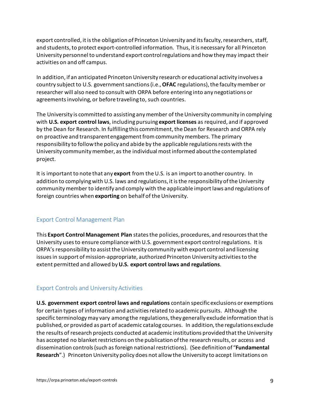export controlled, it is the obligation of Princeton University and its faculty, researchers, staff, and students, to protect export-controlled information. Thus, it is necessary for all Princeton University personnel to understand export control regulations and how they may impact their activities on and off campus.

In addition, if an anticipated Princeton University research or educational activity involves a country subject to U.S. government sanctions(i.e., **OFAC** regulations), the faculty member or researcher will also need to consult with ORPA before entering into any negotiations or agreements involving, or before traveling to, such countries.

The University is committed to assisting any member of the University community in complying with **U.S. export control laws**, including pursuing **export licenses** as required, and if approved by the Dean for Research. In fulfilling this commitment, the Dean for Research and ORPA rely on proactive and transparent engagement from community members. The primary responsibility to follow the policy and abide by the applicable regulations rests with the University community member, as the individual most informed about the contemplated project.

It is important to note that any **export** from the U.S. is an import to another country. In addition to complying with U.S. laws and regulations, it is the responsibility of the University community member to identify and comply with the applicable import laws and regulations of foreign countries when **exporting** on behalf of the University.

### <span id="page-8-0"></span>Export Control Management Plan

This **Export Control Management Plan** states the policies, procedures, and resources that the University uses to ensure compliance with U.S. government export control regulations. It is ORPA's responsibility to assist the University community with export control and licensing issues in support of mission-appropriate, authorized Princeton University activities to the extent permitted and allowed by **U.S. export control laws and regulations**.

### <span id="page-8-1"></span>Export Controls and University Activities

**U.S. government export control laws and regulations** contain specific exclusions or exemptions for certain types of information and activities related to academic pursuits. Although the specific terminology may vary among the regulations, they generally exclude information that is published, or provided as part of academic catalog courses. In addition, the regulations exclude the results of research projects conducted at academic institutions provided that the University has accepted no blanket restrictions on the publication of the research results, or access and dissemination controls (such as foreign national restrictions). (See definition of "**Fundamental Research**".) Princeton University policy does not allow the University to accept limitations on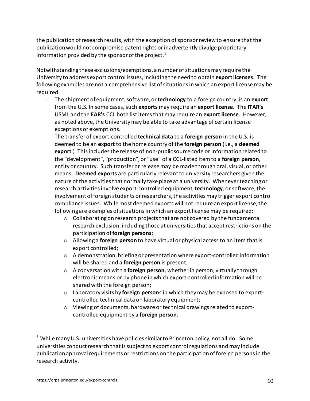the publication of research results, with the exception of sponsor review to ensure that the publication would not compromise patent rights or inadvertently divulge proprietary information provided by the sponsor of the project.  $^5$  $^5$ 

Notwithstanding these exclusions/exemptions, a number of situations may require the University to address export control issues, including the need to obtain **export licenses**. The following examples are not a comprehensive list of situations in which an export license may be required.

- The shipment of equipment, software, or **technology** to a foreign country is an **export** from the U.S. In some cases, such **exports** may require an **export license**. The **ITAR's** USML and the **EAR's** CCL both list items that may require an **export license**. However, as noted above, the Universitymay be able to take advantage of certain license exceptions or exemptions.
- The transfer of export-controlled **technical data** to a **foreign person** in the U.S. is deemed to be an **export** to the home country of the **foreign person** (i.e., a **deemed export**.) This includes the release of non-public source code or information related to the "development", "production", or "use" of a CCL-listed item to a **foreign person**, entity or country. Such transfer or release may be made through oral, visual, or other means. **Deemed exports** are particularly relevant to university researchers given the nature of the activities that normally take place at a university. Whenever teachingor research activities involve export-controlled equipment, **technology**, or software, the involvement of foreign students or researchers, the activitiesmay trigger export control compliance issues. While most deemed exports will not require an export license, the following are examples of situations in which an export license may be required:
	- o Collaborating on research projects that are not covered by the fundamental research exclusion, including those at universities that accept restrictions on the participation of**foreign persons**;
	- o Allowing a **foreign person** to have virtual or physical access to an item that is export controlled;
	- $\circ$  A demonstration, briefing or presentation where export-controlled information will be shared and a **foreign person** is present;
	- o A conversation with a **foreign person**, whether in person, virtually through electronic means or by phone in which export-controlled information will be shared with the foreign person;
	- o Laboratory visits by **foreign person**s in which they may be exposed to exportcontrolled technical data on laboratory equipment;
	- $\circ$  Viewing of documents, hardware or technical drawings related to exportcontrolled equipment by a **foreign person**.

<span id="page-9-0"></span><sup>&</sup>lt;sup>5</sup> While many U.S. universities have policies similar to Princeton policy, not all do. Some universities conduct research that is subject to export control regulations and may include publication approval requirements or restrictions on the participation of foreign persons in the research activity.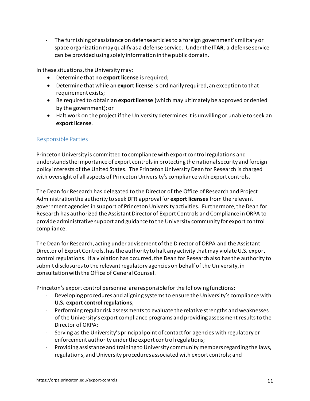- The furnishing of assistance on defense articles to a foreign government's military or space organizationmay qualify as a defense service. Under the **ITAR**, a defense service can be provided using solely information in the public domain.

In these situations, the University may:

- Determine that no **export license** is required;
- Determine that while an **export license** is ordinarily required, an exception to that requirement exists;
- Be required to obtain an **export license** (which may ultimately be approved or denied by the government); or
- Halt work on the project if the University determines it is unwilling or unable to seek an **export license**.

### <span id="page-10-0"></span>Responsible Parties

Princeton University is committed to compliance with export control regulations and understands the importance of export controls in protecting the national security and foreign policy interests of the United States. The Princeton University Dean for Research is charged with oversight of all aspects of Princeton University's compliance with export controls.

The Dean for Research has delegated to the Director of the Office of Research and Project Administration the authority to seek DFR approval for **export licenses** from the relevant government agencies in support of Princeton University activities. Furthermore, the Dean for Research has authorized the Assistant Director of Export Controls and Compliance in ORPA to provide administrative support and guidance to the University community for export control compliance.

The Dean for Research, acting under advisement of the Director of ORPA and the Assistant Director of Export Controls, has the authority to halt any activity that may violate U.S. export control regulations. If a violation has occurred, the Dean for Research also hasthe authority to submit disclosures to the relevant regulatory agencies on behalf of the University, in consultation with the Office of General Counsel.

Princeton's export control personnel are responsible for the following functions:

- Developing procedures and aligning systems to ensure the University's compliance with **U.S. export control regulations**;
- Performing regular risk assessments to evaluate the relative strengths and weaknesses of the University's export compliance programs and providing assessment results to the Director of ORPA;
- Serving as the University's principal point of contact for agencies with regulatory or enforcement authority under the export control regulations;
- Providing assistance and training to University community members regarding the laws, regulations, and University procedures associated with export controls; and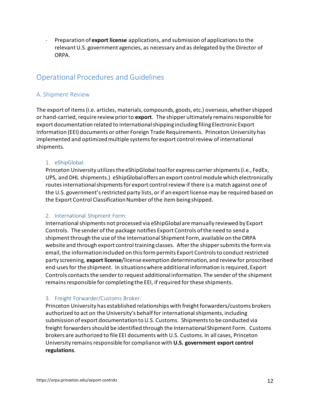- Preparation of **export license** applications, and submission of applications to the relevant U.S. government agencies, as necessary and as delegated by the Director of ORPA.

## <span id="page-11-0"></span>Operational Procedures and Guidelines

#### <span id="page-11-1"></span>A. Shipment Review

The export of items (i.e. articles, materials, compounds, goods, etc.) overseas, whethershipped or hand-carried, require review prior to **export**. The shipper ultimately remains responsible for export documentation related to international shipping including filing Electronic Export Information (EEI) documents or other Foreign Trade Requirements. Princeton University has implemented and optimized multiple systems for export control review of international shipments.

#### <span id="page-11-2"></span>1. eShipGlobal:

Princeton University utilizes the eShipGlobal tool for express carrier shipments (i.e., FedEx, UPS, and DHL shipments.) eShipGlobal offers an export control module which electronically routes international shipments for export control review if there is a match against one of the U.S. government's restricted party lists, or if an export license may be required based on the Export Control Classification Number of the item being shipped.

#### <span id="page-11-3"></span>2. International Shipment Form:

Internationalshipments not processed via eShipGlobal are manually reviewed by Export Controls. The sender of the package notifies Export Controls of the need to send a shipment through the use of the International Shipment Form, available on the ORPA website and through export control training classes. After the shipper submits the form via email, the information included on this form permits Export Controlsto conduct restricted party screening, **export license**/license exemption determination, and review for proscribed end-usesfor the shipment. In situations where additional information isrequired, Export Controls contactsthe sender to request additional information. The sender of the shipment remains responsible for completing the EEI, if required for these shipments.

#### <span id="page-11-4"></span>3. Freight Forwarder/Customs Broker:

Princeton University has established relationships with freight forwarders/customs brokers authorized to act on the University's behalf for international shipments, including submission of export documentation to U.S. Customs. Shipments to be conducted via freight forwarders should be identified through the International Shipment Form. Customs brokers are authorized to file EEI documents with U.S. Customs. In all cases, Princeton University remains responsible for compliance with **U.S. government export control regulations**.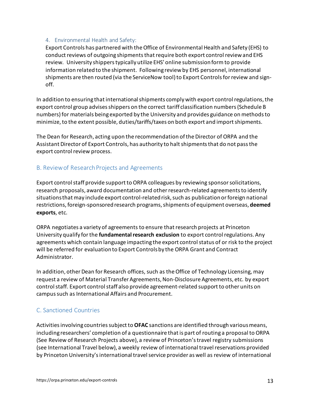#### <span id="page-12-0"></span>4. Environmental Health and Safety:

Export Controls has partnered with the Office of Environmental Health and Safety (EHS) to conduct reviews of outgoing shipments that require both export control review and EHS review. University shippers typically utilize EHS' online submission form to provide information related to the shipment. Following review by EHS personnel, international shipments are then routed (via the ServiceNow tool) to Export Controls for review and signoff.

In addition to ensuring that international shipments comply with export control regulations, the export control group advises shippers on the correct tariff classification numbers(Schedule B numbers) for materials being exported by the University and provides guidance on methods to minimize, to the extent possible, duties/tariffs/taxes on both export and import shipments.

The Dean for Research, acting upon the recommendation of the Director of ORPA and the Assistant Director of Export Controls, has authority to halt shipments that do not pass the export control review process.

#### <span id="page-12-1"></span>B. Review of Research Projects and Agreements

Export control staff provide support to ORPA colleagues by reviewing sponsor solicitations, research proposals, award documentation and other research-related agreements to identify situations that may include export control-related risk, such as publication or foreign national restrictions, foreign-sponsored research programs, shipments of equipment overseas, **deemed exports**, etc.

ORPA negotiates a variety of agreements to ensure that research projects at Princeton University qualify for the **fundamental research exclusion** to export control regulations. Any agreements which contain language impacting the export control status of or risk to the project will be referred for evaluationto Export Controls by the ORPA Grant and Contract Administrator.

In addition, other Dean for Research offices, such as the Office of Technology Licensing, may request a review of Material Transfer Agreements, Non-Disclosure Agreements, etc. by export control staff. Export control staff also provide agreement-related support to other units on campus such as International Affairs and Procurement.

### <span id="page-12-2"></span>C. Sanctioned Countries

Activities involving countries subject to **OFAC** sanctions are identified through various means, including researchers' completion of a questionnaire that is part of routing a proposal to ORPA (See Review of Research Projects above), a review of Princeton's travel registry submissions (see International Travel below), a weekly review of international travel reservations provided by Princeton University's international travel service provider as well as review of international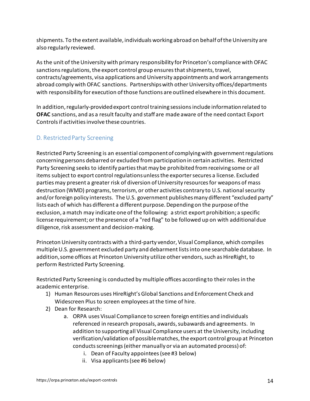shipments. To the extent available, individuals working abroad on behalf of the University are also regularly reviewed.

As the unit of the University with primary responsibility for Princeton's compliance with OFAC sanctions regulations, the export control group ensures that shipments, travel, contracts/agreements, visa applications and University appointments and work arrangements abroad comply with OFAC sanctions. Partnerships with other University offices/departments with responsibility for execution of those functions are outlined elsewhere in this document.

In addition, regularly-provided export control training sessions include information related to **OFAC** sanctions, and as a result faculty and staff are made aware of the need contact Export Controls if activities involve these countries.

## <span id="page-13-0"></span>D. Restricted Party Screening

Restricted Party Screening is an essential component of complying with government regulations concerning persons debarred or excluded from participation in certain activities. Restricted Party Screening seeks to identify parties that may be prohibited fromreceiving some or all items subject to export control regulationsunless the exporter secures a license. Excluded parties may present a greater risk of diversion of University resources for weapons of mass destruction (WMD) programs, terrorism, or other activities contrary to U.S. national security and/or foreign policy interests. The U.S. government publishes many different "excluded party" lists each of which has different a different purpose. Depending on the purpose of the exclusion, a match may indicate one of the following: a strict export prohibition; a specific license requirement; or the presence of a "red flag" to be followed up on with additional due diligence, risk assessment and decision-making.

Princeton University contracts with a third-party vendor, Visual Compliance, which compiles multiple U.S. government excluded party and debarment lists into one searchable database. In addition, some offices at Princeton University utilize other vendors, such as HireRight, to perform Restricted Party Screening.

Restricted Party Screening is conducted by multiple offices according to their roles in the academic enterprise.

- 1) Human Resources uses HireRight's Global Sanctions and Enforcement Check and Widescreen Plus to screen employees at the time of hire.
- 2) Dean for Research:
	- a. ORPA uses Visual Compliance to screen foreign entities and individuals referenced in research proposals, awards, subawards and agreements. In addition to supporting all Visual Compliance users at the University, including verification/validation of possible matches, the export control group at Princeton conducts screenings (either manually or via an automated process) of:
		- i. Dean of Faculty appointees (see #3 below)
		- ii. Visa applicants (see #6 below)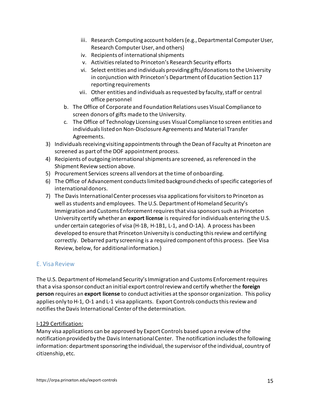- iii. Research Computing account holders (e.g., Departmental Computer User, Research Computer User, and others)
- iv. Recipients of international shipments
- v. Activities related to Princeton's Research Security efforts
- vi. Select entities and individuals providing gifts/donations to the University in conjunction with Princeton's Department of Education Section 117 reporting requirements
- vii. Other entities and individuals as requested by faculty, staff or central office personnel
- b. The Office of Corporate and Foundation Relations uses Visual Compliance to screen donors of gifts made to the University.
- c. The Office of Technology Licensing uses Visual Compliance to screen entities and individuals listed on Non-Disclosure Agreements and Material Transfer Agreements.
- 3) Individuals receiving visiting appointmentsthrough the Dean of Faculty at Princeton are screened as part of the DOF appointment process.
- 4) Recipients of outgoing international shipments are screened, as referenced in the Shipment Review section above.
- 5) Procurement Services screens all vendors at the time of onboarding.
- 6) The Office of Advancement conducts limited background checks of specific categories of international donors.
- 7) The Davis International Center processes visa applications for visitors to Princeton as well as students and employees. The U.S. Department of Homeland Security's Immigration and Customs Enforcement requires that visa sponsors such as Princeton University certify whether an **export license** is required for individuals entering the U.S. under certain categories of visa (H-1B, H-1B1, L-1, and O-1A). A process has been developed to ensure that Princeton University is conducting this review and certifying correctly. Debarred party screening is a required component of this process. (See Visa Review, below, for additional information.)

### <span id="page-14-0"></span>E. Visa Review

The U.S. Department of Homeland Security's Immigration and Customs Enforcement requires that a visa sponsor conduct an initial export control review and certify whetherthe **foreign person** requires an **export license** to conduct activities at the sponsor organization. This policy applies only to H-1, O-1 and L-1 visa applicants. Export Controls conducts this review and notifies the Davis International Center of the determination.

#### I-129 Certification:

Many visa applications can be approved by Export Controls based upon a review of the notification provided by the Davis International Center. The notification includes the following information: department sponsoring the individual, the supervisor of the individual, country of citizenship, etc.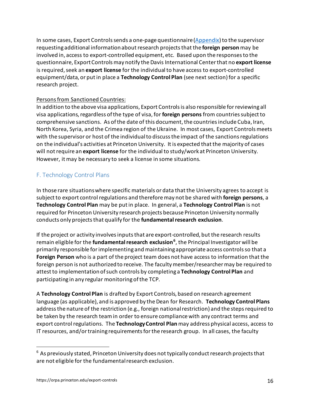In some cases, Export Controls sends a one-page questionnaire  $(Appendix)$  to the supervisor requesting additional information about research projects that the **foreign person** may be involved in, access to export-controlled equipment, etc. Based upon the responses to the questionnaire, Export Controls may notify the Davis International Center that no **export license** is required, seek an **export license** for the individual to have access to export-controlled equipment/data, or put in place a **Technology Control Plan** (see next section)for a specific research project.

#### Persons from Sanctioned Countries:

In addition to the above visa applications, Export Controls is also responsible for reviewing all visa applications, regardless of the type of visa, for **foreign persons** from countriessubject to comprehensive sanctions. As of the date of this document, the countries include Cuba, Iran, North Korea, Syria, and the Crimea region of the Ukraine. In most cases, Export Controls meets with the supervisor or host of the individualto discuss the impact of the sanctions regulations on the individual's activities at Princeton University. It is expected that the majority of cases will not require an **export license** for the individual to study/work at Princeton University. However, it may be necessary to seek a license in some situations.

### <span id="page-15-0"></span>F. Technology Control Plans

In those rare situations where specific materials or data that the University agrees to accept is subject to export control regulations and therefore may not be shared with **foreign persons**, a **Technology Control Plan** may be put in place. In general, a **Technology Control Plan** is not required for Princeton University research projects because Princeton University normally conducts only projects that qualify for the **fundamental research exclusion**.

If the project or activity involves inputs that are export-controlled, but the research results remain eligible for the **fundamental research exclusion[6](#page-15-1)** , the Principal Investigator will be primarily responsible for implementing and maintaining appropriate access controls so that a **Foreign Person** who is a part of the project team does not have access to information that the foreign person is not authorized to receive. The faculty member/researcher may be required to attest to implementation of such controls by completing a **Technology Control Plan** and participating in any regular monitoring of the TCP.

A **Technology Control Plan** is drafted by Export Controls, based on research agreement language (as applicable), and is approved by the Dean for Research. **Technology Control Plans** address the nature of the restriction (e.g., foreign national restriction) and the steps required to be taken by the research team in order to ensure compliance with any contract terms and export control regulations. The **Technology Control Plan** may address physical access, access to IT resources, and/or training requirements for the research group. In all cases, the faculty

<span id="page-15-1"></span> $6$  As previously stated, Princeton University does not typically conduct research projects that are not eligible for the fundamental research exclusion.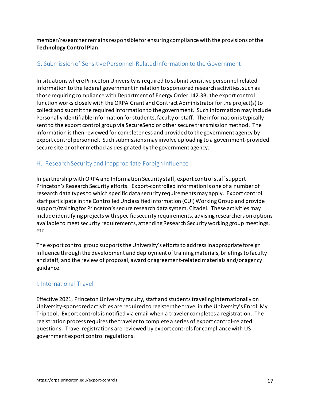member/researcherremains responsible for ensuring compliance with the provisions of the **Technology Control Plan**.

### <span id="page-16-0"></span>G. Submission of Sensitive Personnel-Related Information to the Government

In situations where Princeton University is required to submit sensitive personnel-related information to the federal government in relation to sponsored research activities, such as those requiring compliance with Department of Energy Order 142.3B, the export control function works closely with the ORPA Grant and Contract Administrator for the project(s) to collect and submit the required information to the government. Such information may include Personally Identifiable Information for students, faculty or staff. The information is typically sent to the export control group via SecureSend or other secure transmission method. The information is then reviewed for completeness and provided to the government agency by export control personnel. Such submissions may involve uploading to a government-provided secure site or other method as designated by the government agency.

### <span id="page-16-1"></span>H. Research Security and Inappropriate Foreign Influence

In partnership with ORPA and Information Security staff, export control staff support Princeton's Research Security efforts. Export-controlled information is one of a number of research data types to which specific data security requirements may apply. Export control staff participate in the Controlled Unclassified Information (CUI) Working Group and provide support/training for Princeton's secure research data system, Citadel. These activities may include identifying projects with specific security requirements, advising researchers on options available to meet security requirements, attending Research Security working group meetings, etc.

The export control group supports the University's efforts to address inappropriate foreign influence through the development and deployment of training materials, briefings to faculty and staff, and the review of proposal, award or agreement-related materials and/or agency guidance.

### <span id="page-16-2"></span>I. International Travel

Effective 2021, Princeton University faculty, staff and students traveling internationally on University-sponsored activities are required to register the travel in the University's Enroll My Trip tool. Export controls is notified via email when a traveler completes a registration. The registration process requires the traveler to complete a series of export control-related questions. Travel registrations are reviewed by export controls for compliance with US government export control regulations.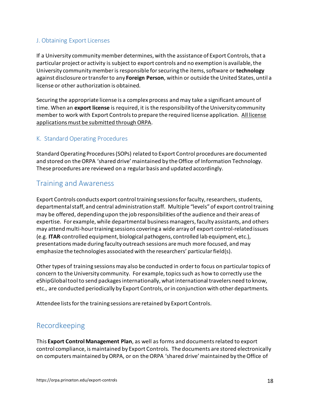### <span id="page-17-0"></span>J. Obtaining Export Licenses

If a University community member determines, with the assistance of Export Controls, that a particular project or activity is subject to export controls and no exemption is available, the University community memberis responsible for securing the items, software or **technology** against disclosure or transfer to any **Foreign Person**, within or outside the United States, until a license or other authorization is obtained.

Securing the appropriate license is a complex process and may take a significant amount of time. When an **export license** is required, it is the responsibility of the University community member to work with Export Controls to prepare the required license application. All license applications must be submitted through ORPA.

### <span id="page-17-1"></span>K. Standard Operating Procedures

Standard Operating Procedures (SOPs) related to Export Control procedures are documented and stored on the ORPA 'shared drive' maintained by the Office of Information Technology. These procedures are reviewed on a regular basis and updated accordingly.

## <span id="page-17-2"></span>Training and Awareness

Export Controls conducts export control training sessions for faculty, researchers, students, departmental staff, and central administration staff. Multiple "levels" of export control training may be offered, depending upon the job responsibilities of the audience and their areas of expertise. For example, while departmental business managers, faculty assistants, and others may attend multi-hour training sessions covering a wide array of export control-related issues (e.g. **ITAR**-controlled equipment, biological pathogens, controlled lab equipment, etc.), presentations made during faculty outreach sessions are much more focused, and may emphasize the technologies associated with the researchers' particular field(s).

Other types of training sessions may also be conducted in order to focus on particular topics of concern to the University community. For example, topics such as how to correctly use the eShipGlobal tool to send packages internationally, what international travelers need to know, etc., are conducted periodically by Export Controls, or in conjunction with other departments.

Attendee lists for the training sessions are retained by Export Controls.

## <span id="page-17-3"></span>Recordkeeping

This **Export Control Management Plan**, as well as forms and documents related to export control compliance, ismaintained by Export Controls. The documents are stored electronically on computers maintained by ORPA, or on the ORPA 'shared drive' maintained by the Office of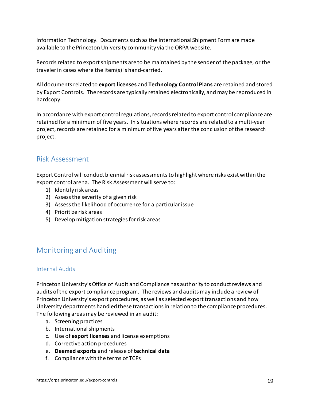Information Technology. Documents such as the International Shipment Form are made available to the Princeton University community via the ORPA website.

Records related to export shipments are to be maintained by the sender of the package, or the traveler in cases where the item(s) is hand-carried.

All documentsrelated to **export licenses** and **Technology Control Plans** are retained and stored by Export Controls. The records are typically retained electronically, and may be reproduced in hardcopy.

In accordance with export control regulations, records related to export control compliance are retained for a minimum of five years. In situations where records are related to a multi-year project, records are retained for a minimum of five years after the conclusion of the research project.

## <span id="page-18-0"></span>Risk Assessment

Export Control will conduct biennial risk assessments to highlight where risks exist within the export control arena. The Risk Assessment will serve to:

- 1) Identify risk areas
- 2) Assess the severity of a given risk
- 3) Assess the likelihood of occurrence for a particular issue
- 4) Prioritize risk areas
- 5) Develop mitigation strategies for risk areas

## <span id="page-18-1"></span>Monitoring and Auditing

### <span id="page-18-2"></span>Internal Audits

Princeton University's Office of Audit and Compliance has authority to conduct reviews and audits of the export compliance program. The reviews and auditsmay include a review of Princeton University's export procedures, as well as selected export transactions and how University departments handled these transactions in relation to the compliance procedures. The following areas may be reviewed in an audit:

- a. Screening practices
- b. International shipments
- c. Use of **export licenses** and license exemptions
- d. Corrective action procedures
- e. **Deemed exports** and release of **technical data**
- f. Compliance with the terms of TCPs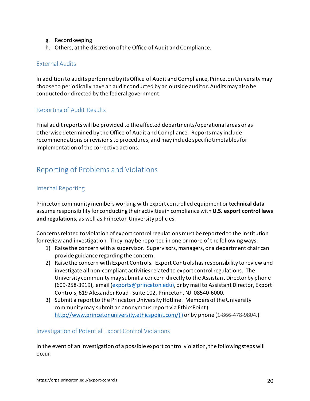- g. Recordkeeping
- h. Others, at the discretion of the Office of Audit and Compliance.

#### <span id="page-19-0"></span>External Audits

In addition to audits performed by its Office of Audit and Compliance, Princeton University may choose to periodically have an audit conducted by an outside auditor. Audits may also be conducted or directed by the federal government.

#### <span id="page-19-1"></span>Reporting of Audit Results

Final audit reports will be provided to the affected departments/operational areas or as otherwise determined by the Office of Audit and Compliance. Reportsmay include recommendations or revisions to procedures, and may include specific timetables for implementation of the corrective actions.

## <span id="page-19-2"></span>Reporting of Problems and Violations

#### <span id="page-19-3"></span>Internal Reporting

Princeton community members working with export controlled equipment or **technical data** assume responsibility for conducting their activities in compliance with **U.S. export control laws and regulations**, as well as Princeton University policies.

Concerns related to violation of export control regulations must be reported to the institution for review and investigation. Theymay be reported in one or more of the following ways:

- 1) Raise the concern with a supervisor. Supervisors, managers, or a department chair can provide guidance regarding the concern.
- 2) Raise the concern with Export Controls. Export Controls has responsibility to review and investigate all non-compliant activities related to export control regulations. The University communitymay submit a concern directly to the Assistant Director by phone (609-258-3919), email [\(exports@princeton.edu\),](mailto:exports@princeton.edu)) or by mail to Assistant Director, Export Controls, 619 Alexander Road - Suite 102, Princeton, NJ 08540-6000.
- 3) Submit a report to the Princeton University Hotline. Members of the University communitymay submit an anonymous report via EthicsPoint [\(](http://www.princetonuniversity.ethicspoint.com/)%20)) [http://www.princetonuniversity.ethicspoint.com/\) \)](http://www.princetonuniversity.ethicspoint.com/)%20)) or by phone (1-866-478-9804.)

#### <span id="page-19-4"></span>Investigation of Potential Export Control Violations

In the event of an investigation of a possible export control violation, the following steps will occur: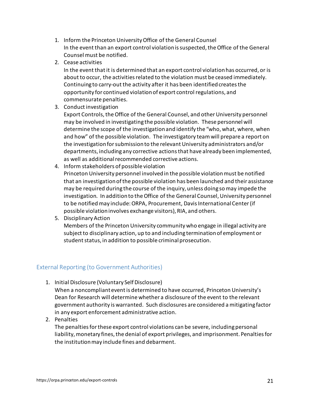- 1. Inform the Princeton University Office of the General Counsel In the event than an export control violation is suspected, the Office of the General Counsel must be notified.
- 2. Cease activities

In the event that it is determined that an export control violation has occurred, or is about to occur, the activities related to the violation must be ceased immediately. Continuing to carry-out the activity after it has been identified creates the opportunity for continued violation of export control regulations, and commensurate penalties.

3. Conduct investigation

Export Controls, the Office of the General Counsel, and other University personnel may be involved in investigating the possible violation. These personnel will determine the scope of the investigation and identify the "who, what, where, when and how" of the possible violation. The investigatory team will prepare a report on the investigation for submission to the relevant University administrators and/or departments, including any corrective actions that have already been implemented, as well as additional recommended corrective actions.

4. Inform stakeholders of possible violation

Princeton University personnel involved in the possible violation must be notified that an investigation of the possible violation has been launched and their assistance may be required during the course of the inquiry, unless doing so may impede the investigation. In addition to the Office of the General Counsel, University personnel to be notified may include: ORPA, Procurement, Davis International Center (if possible violation involves exchange visitors), RIA, and others.

5. Disciplinary Action

Members of the Princeton University community who engage in illegal activity are subject to disciplinary action, up to and including termination of employment or student status, in addition to possible criminal prosecution.

### <span id="page-20-0"></span>External Reporting (to Government Authorities)

1. Initial Disclosure (Voluntary Self Disclosure)

When a noncompliant event is determined to have occurred, Princeton University's Dean for Research will determine whether a disclosure of the event to the relevant government authority is warranted. Such disclosures are considered a mitigating factor in any export enforcement administrative action.

2. Penalties

The penalties for these export control violations can be severe, including personal liability, monetary fines, the denial of export privileges, and imprisonment. Penalties for the institution may include fines and debarment.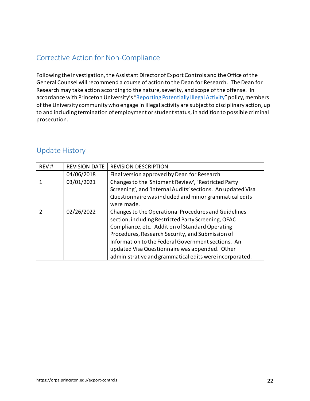## <span id="page-21-0"></span>Corrective Action for Non-Compliance

Following the investigation, the Assistant Director of Export Controls and the Office of the General Counsel will recommend a course of action to the Dean for Research. The Dean for Research may take action according to the nature, severity, and scope of the offense. In accordance with Princeton University's ["Reporting Potentially Illegal Activity"](https://reportingillegalactivity.princeton.edu/) policy, members of the University community who engage in illegal activity are subject to disciplinary action, up to and including termination of employment or student status, in addition to possible criminal prosecution.

## <span id="page-21-1"></span>Update History

| REV#          | <b>REVISION DATE</b> | <b>REVISION DESCRIPTION</b>                                                                                                                                                                                                                                                                                                                                                           |
|---------------|----------------------|---------------------------------------------------------------------------------------------------------------------------------------------------------------------------------------------------------------------------------------------------------------------------------------------------------------------------------------------------------------------------------------|
|               | 04/06/2018           | Final version approved by Dean for Research                                                                                                                                                                                                                                                                                                                                           |
|               | 03/01/2021           | Changes to the 'Shipment Review', 'Restricted Party<br>Screening', and 'Internal Audits' sections. An updated Visa<br>Questionnaire was included and minor grammatical edits<br>were made.                                                                                                                                                                                            |
| $\mathcal{P}$ | 02/26/2022           | Changes to the Operational Procedures and Guidelines<br>section, including Restricted Party Screening, OFAC<br>Compliance, etc. Addition of Standard Operating<br>Procedures, Research Security, and Submission of<br>Information to the Federal Government sections. An<br>updated Visa Questionnaire was appended. Other<br>administrative and grammatical edits were incorporated. |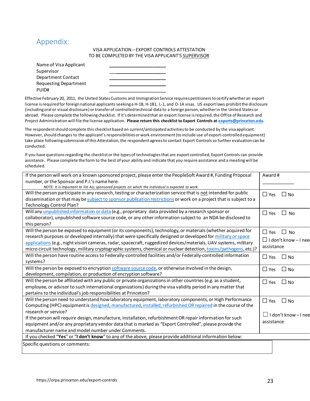## <span id="page-22-0"></span>Appendix:

#### VISA APPLICATION – EXPORT CONTROLS ATTESTATION TO BE COMPLETED BY THE VISA APPLICANT'S SUPERVISOR

| Name of Visa Applicant       |  |
|------------------------------|--|
| Supervisor                   |  |
| Department Contact           |  |
| <b>Requesting Department</b> |  |
| PUID#                        |  |

Effective February 20, 2011, the United States Customs and Immigration Service requires petitioners to certify whether an export license is required for foreign national applicants seeking a H-1B, H-1B1, L-1, and O-1A visas. US export laws prohibit the disclosure (including oral or visual disclosure) or transfer of controlled technical data to a foreign person, whether in the United States or abroad. Please complete the following checklist. If it's determined that an export license is required, the Office of Research and Project Administration will file the license application. **Please return this checklist to Export Controls at [exports@princeton.edu](mailto:exports@princeton.edu)**.

The respondent should complete this checklist based on current/anticipated activities to be conducted by the visa applicant. However, should changes to the applicant's responsibilities or work environment (to include use of export-controlled equipment) take place following submission of this Attestation, the respondent agrees to contact Export Controls so further evaluation can be conducted.

If you have questions regarding the checklist or the types of technologies that are export controlled, Export Controls can provide assistance. Please complete the form to the best of your ability and indicate that you require assistance and a meeting will be scheduled.

| If the person will work on a known sponsored project, please enter the PeopleSoft Award #, Funding Proposal        | Award #                       |
|--------------------------------------------------------------------------------------------------------------------|-------------------------------|
| number, or the Sponsor and P.I.'s name here:                                                                       |                               |
| NOTE: It is important to list ALL sponsored projects on which the individual is expected to work.                  |                               |
| Will the person participate in any research, testing or characterization service that is not intended for public   | $\Box$ Yes<br>$\Box$ No       |
| dissemination or that may be subject to sponsor publication restrictions or work on a project that is subject to a |                               |
| Technology Control Plan?                                                                                           |                               |
| Will any unpublished information or data (e.g., proprietary data provided by a research sponsor or                 | $\Box$ Yes<br>$\Box$ No       |
| collaborator), unpublished software source code, or any other information subject to an NDA be disclosed to        |                               |
| this person?                                                                                                       |                               |
| Will the person be exposed to equipment (or its components), technology, or materials (whether acquired for        | $\Box$ No<br>$\Box$ Yes       |
| research purposes or developed internally) that were specifically designed or developed for military or space      |                               |
| applications (e.g., night vision cameras, radar, spacecraft, ruggedized devices/materials, UAV systems, military   | $\Box$ I don't know - I nee   |
| micro circuit technology, military cryptographic systems, chemical or nuclear detection, toxins/pathogens, etc.)?  | assistance                    |
| Will the person have routine access to Federally-controlled facilities and/or Federally-controlled information     | $\Box$ Yes<br>$\Box$ No       |
| systems?                                                                                                           |                               |
| Will the person be exposed to encryption software source code, or otherwise involved in the design,                | $\Box$ Yes<br>$\square$ No    |
| development, compilation, or production of encryption software?                                                    |                               |
| Will the person be affiliated with any public or private organizations in other countries (e.g. as a student,      | $\Box$ Yes<br>$\Box$ No       |
| employee, or advisor to such international organizations) during the visa validity period in any matter that       |                               |
| pertains to the individual's job responsibilities at Princeton?                                                    |                               |
| Will the person need to understand how laboratory equipment, laboratory components, or High Performance            | $\Box$ Yes<br>$\Box$ No       |
| Computing (HPC) equipment is designed, manufactured, installed, refurbished OR repaired in the course of the       |                               |
| research or service?                                                                                               | I don't know-I nee<br>$\perp$ |
| If the person will require design, manufacture, installation, refurbishment OR repair information for such         |                               |
| equipment and/or any proprietary vendor data that is marked as "Export Controlled", please provide the             | assistance                    |
| manufacturer name and model number under Comments.                                                                 |                               |
| If you checked "Yes" or "I don't know" to any of the above, please provide additional information below:           |                               |
| Specific questions or comments:                                                                                    |                               |
|                                                                                                                    |                               |